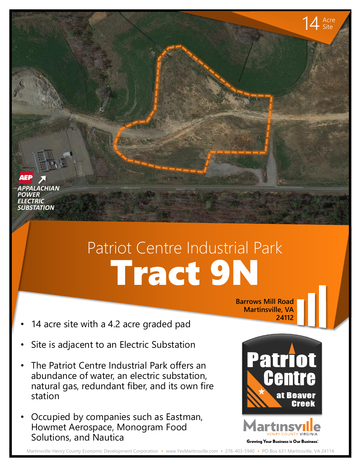*APPALACHIAN ELECTRIC POWER SUBSTATION*

## Tract 9N Patriot Centre Industrial Park

- 14 acre site with a 4.2 acre graded pad
- Site is adjacent to an Electric Substation
- The Patriot Centre Industrial Park offers an abundance of water, an electric substation, natural gas, redundant fiber, and its own fire station
- Occupied by companies such as Eastman, Howmet Aerospace, Monogram Food Solutions, and Nautica

**Barrows Mill Road Martinsville, VA 24112**



14 Acre Site

Martinsville-Henry County Economic Development Corporation • www.YesMartinsville.com • 276-403-5940 • PO Box 631 Martinsville, VA 24114